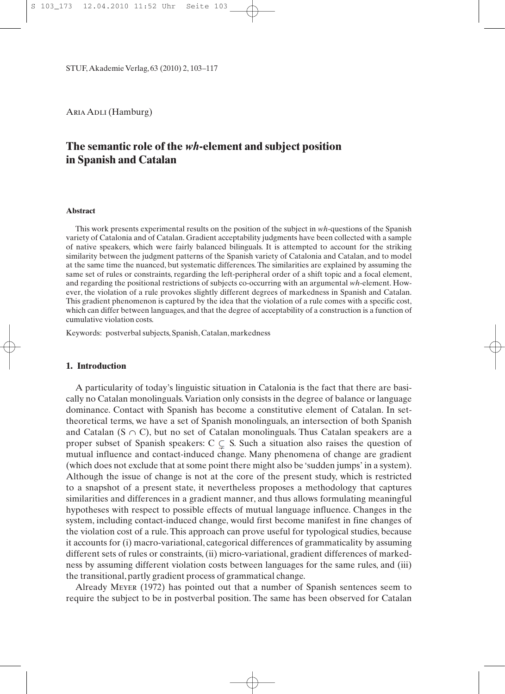STUF, Akademie Verlag, 63 (2010) 2, 103–117

ARIA ADLI (Hamburg)

# **The semantic role of the** *wh***-element and subject position in Spanish and Catalan**

#### **Abstract**

This work presents experimental results on the position of the subject in *wh-*questions of the Spanish variety of Catalonia and of Catalan. Gradient acceptability judgments have been collected with a sample of native speakers, which were fairly balanced bilinguals. It is attempted to account for the striking similarity between the judgment patterns of the Spanish variety of Catalonia and Catalan, and to model at the same time the nuanced, but systematic differences. The similarities are explained by assuming the same set of rules or constraints, regarding the left-peripheral order of a shift topic and a focal element, and regarding the positional restrictions of subjects co-occurring with an argumental *wh*-element. However, the violation of a rule provokes slightly different degrees of markedness in Spanish and Catalan. This gradient phenomenon is captured by the idea that the violation of a rule comes with a specific cost, which can differ between languages, and that the degree of acceptability of a construction is a function of cumulative violation costs.

Keywords: postverbal subjects, Spanish, Catalan, markedness

## **1. Introduction**

A particularity of today's linguistic situation in Catalonia is the fact that there are basically no Catalan monolinguals.Variation only consists in the degree of balance or language dominance. Contact with Spanish has become a constitutive element of Catalan. In settheoretical terms, we have a set of Spanish monolinguals, an intersection of both Spanish and Catalan (S  $\cap$  C), but no set of Catalan monolinguals. Thus Catalan speakers are a proper subset of Spanish speakers: C  $\subseteq S$ . Such a situation also raises the question of mutual influence and contact-induced change. Many phenomena of change are gradient (which does not exclude that at some point there might also be 'sudden jumps' in a system). Although the issue of change is not at the core of the present study, which is restricted to a snapshot of a present state, it nevertheless proposes a methodology that captures similarities and differences in a gradient manner, and thus allows formulating meaningful hypotheses with respect to possible effects of mutual language influence. Changes in the system, including contact-induced change, would first become manifest in fine changes of the violation cost of a rule. This approach can prove useful for typological studies, because it accounts for (i) macro-variational, categorical differences of grammaticality by assuming different sets of rules or constraints, (ii) micro-variational, gradient differences of markedness by assuming different violation costs between languages for the same rules, and (iii) the transitional, partly gradient process of grammatical change.

Already Meyer (1972) has pointed out that a number of Spanish sentences seem to require the subject to be in postverbal position. The same has been observed for Catalan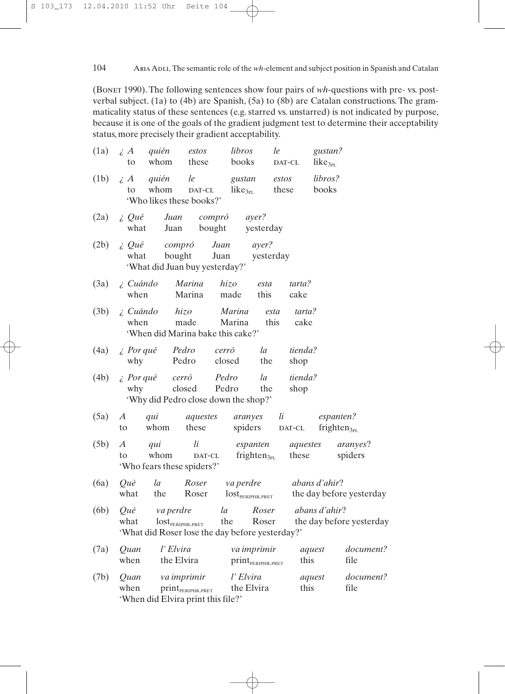104 Aria Adli, The semantic role of the *wh*-element and subject position in Spanish and Catalan

(Bonet 1990). The following sentences show four pairs of *wh*-questions with pre- vs. postverbal subject. (1a) to (4b) are Spanish, (5a) to (8b) are Catalan constructions. The grammaticality status of these sentences (e.g. starred vs. unstarred) is not indicated by purpose, because it is one of the goals of the gradient judgment test to determine their acceptability status, more precisely their gradient acceptability.

| (1a) | $\iota A$<br>to               | estos<br>quién<br>whom<br>these                                                              | libros<br>books               | le                                           | DAT-CL            | gustan?<br>like <sub>3PL</sub>                   |
|------|-------------------------------|----------------------------------------------------------------------------------------------|-------------------------------|----------------------------------------------|-------------------|--------------------------------------------------|
| (1b) | $\iota$ A<br>to               | quién<br>le<br>whom<br>DAT-CL<br>'Who likes these books?'                                    | gustan<br>like <sub>3PL</sub> | estos<br>these                               |                   | libros?<br>books                                 |
| (2a) | i, Qué<br>what                | Juan<br>Juan                                                                                 | compró<br>bought              | ayer?<br>yesterday                           |                   |                                                  |
| (2b) | i, Qué<br>what                | compró<br>bought<br>'What did Juan buy yesterday?'                                           | Juan<br>Juan                  | ayer?<br>yesterday                           |                   |                                                  |
| (3a) | $i$ Cuándo<br>when            | Marina<br>Marina                                                                             | hizo<br>made                  | esta<br>this                                 | tarta?<br>cake    |                                                  |
| (3b) | ¿ Cuándo<br>when              | hizo<br>made<br>'When did Marina bake this cake?'                                            | Marina<br>Marina              | esta<br>this                                 | tarta?<br>cake    |                                                  |
| (4a) | $\lambda$ Por qué<br>why      | Pedro<br>Pedro                                                                               | cerró<br>closed               | la<br>the                                    | tienda?<br>shop   |                                                  |
| (4b) | why                           | $\lambda$ Por qué cerró<br>closed<br>'Why did Pedro close down the shop?'                    | Pedro<br>Pedro                | la<br>the                                    | tienda?<br>shop   |                                                  |
| (5a) | $\boldsymbol{A}$<br>qui<br>to | aquestes<br>whom<br>these                                                                    |                               | aranyes<br>li<br>spiders                     | DAT-CL            | espanten?<br>frighten $_{3p}$                    |
| (5b) | A<br>qui<br>to                | li<br>whom<br>'Who fears these spiders?'                                                     | $\text{DAT-CL}$               | espanten<br>frighten $_{3PL}$                | aquestes<br>these | <i>aranyes?</i><br>spiders                       |
| (6a) | <i>Ouè</i><br>what            | la<br>Roser<br>the<br>Roser                                                                  | va perdre                     | $\text{lost}_{\text{PERIPHR,PRET}}$          | abans d'ahir?     | the day before yesterday                         |
| (6b) | Què<br>what                   | va perdre<br>lost <sub>PERIPHR.PRET</sub><br>'What did Roser lose the day before yesterday?' | la<br>the                     | Roser<br>Roser                               |                   | <i>abans d'ahir?</i><br>the day before yesterday |
| (7a) | Quan<br>when                  | l' Elvira<br>the Elvira                                                                      |                               | va imprimir<br>print <sub>PERIPHR.PRET</sub> | aquest<br>this    | document?<br>file                                |
| (7b) | Quan<br>when                  | va imprimir<br>$print_{PERIPHR.PRET}$<br>'When did Elvira print this file?'                  |                               | l' Elvira<br>the Elvira                      | aquest<br>this    | document?<br>file                                |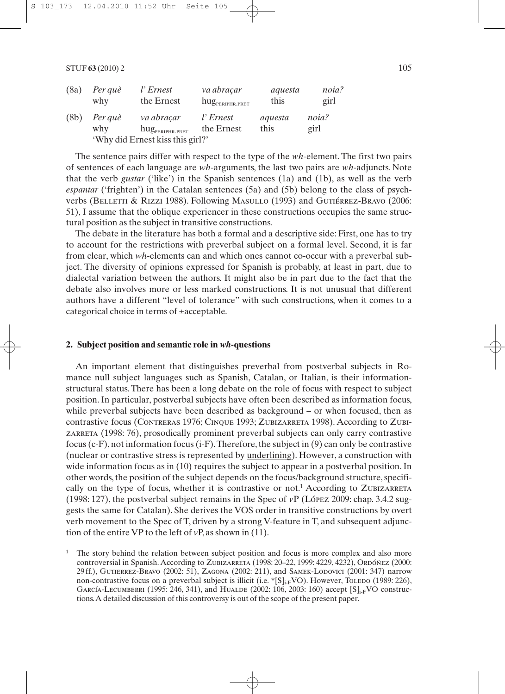| (8a) | Per què                          | l'Ernest                       | va abraçar                      | aquesta | noia? |  |  |  |
|------|----------------------------------|--------------------------------|---------------------------------|---------|-------|--|--|--|
|      | why                              | the Ernest                     | $\rm{hug}_{\rm{periPhr. PRET}}$ | this    | girl  |  |  |  |
| (8b) | Per què                          | va abracar                     | l'Ernest                        | aquesta | noia? |  |  |  |
|      | why                              | $\rm{hug}_{\rm{PERIPHR.PRET}}$ | the Ernest                      | this    | girl  |  |  |  |
|      | 'Why did Ernest kiss this girl?' |                                |                                 |         |       |  |  |  |

The sentence pairs differ with respect to the type of the *wh*-element. The first two pairs of sentences of each language are *wh*-arguments, the last two pairs are *wh-*adjuncts. Note that the verb *gustar* ('like') in the Spanish sentences (1a) and (1b), as well as the verb *espantar* ('frighten') in the Catalan sentences (5a) and (5b) belong to the class of psychverbs (BELLETTI & RIZZI 1988). Following Masullo (1993) and Gutiérrez-Bravo (2006: 51), I assume that the oblique experiencer in these constructions occupies the same structural position as the subject in transitive constructions.

The debate in the literature has both a formal and a descriptive side: First, one has to try to account for the restrictions with preverbal subject on a formal level. Second, it is far from clear, which *wh*-elements can and which ones cannot co-occur with a preverbal subject. The diversity of opinions expressed for Spanish is probably, at least in part, due to dialectal variation between the authors. It might also be in part due to the fact that the debate also involves more or less marked constructions. It is not unusual that different authors have a different "level of tolerance" with such constructions, when it comes to a categorical choice in terms of ±acceptable.

### **2. Subject position and semantic role in** *wh***-questions**

An important element that distinguishes preverbal from postverbal subjects in Romance null subject languages such as Spanish, Catalan, or Italian, is their informationstructural status. There has been a long debate on the role of focus with respect to subject position. In particular, postverbal subjects have often been described as information focus, while preverbal subjects have been described as background – or when focused, then as contrastive focus (Contreras 1976; Cinque 1993; Zubizarreta 1998). According to Zubizarreta (1998: 76), prosodically prominent preverbal subjects can only carry contrastive focus (c-F), not information focus (i-F).Therefore, the subject in (9) can only be contrastive (nuclear or contrastive stress is represented by underlining). However, a construction with wide information focus as in (10) requires the subject to appear in a postverbal position. In other words, the position of the subject depends on the focus/background structure, specifically on the type of focus, whether it is contrastive or not.<sup>1</sup> According to ZUBIZARRETA (1998: 127), the postverbal subject remains in the Spec of *v*P (López 2009: chap. 3.4.2 suggests the same for Catalan). She derives the VOS order in transitive constructions by overt verb movement to the Spec of T, driven by a strong V-feature in T, and subsequent adjunction of the entire VP to the left of *v*P, as shown in (11).

<sup>1</sup> The story behind the relation between subject position and focus is more complex and also more controversial in Spanish. According to Zubizarreta (1998: 20–22, 1999: 4229, 4232), Ordóñez (2000: 29 ff.), Gutierrez-Bravo (2002: 51), Zagona (2002: 211), and Samek-Lodovici (2001: 347) narrow non-contrastive focus on a preverbal subject is illicit (i.e.  $\{S\}_{i\in V}$ VO). However, Toledo (1989: 226), GARCÍA-LECUMBERRI (1995: 246, 341), and HUALDE (2002: 106, 2003: 160) accept  $[S]_{i,F}$ VO constructions.A detailed discussion of this controversy is out of the scope of the present paper.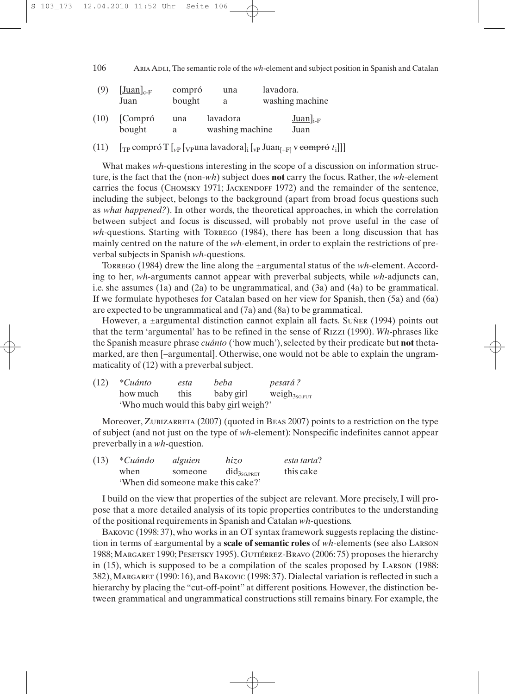106 Aria Adli, The semantic role of the *wh*-element and subject position in Spanish and Catalan

| (9)  | $[\underline{\text{Juan}}]_{c-F}$<br>Juan | compró<br>bought | una<br>a                    | lavadora. | washing machine               |
|------|-------------------------------------------|------------------|-----------------------------|-----------|-------------------------------|
| (10) | Compró<br>bought                          | una<br>a         | lavadora<br>washing machine |           | $Juan$ <sub>i-F</sub><br>Juan |

(11)  $\int_{\text{TP}} \text{compró T} \left[ \int_{\text{VP}} \text{Vpuna lavadora} \right] \left[ \int_{\text{VP}} \text{Juan}_{[+F]} \right] \text{v} \right]$ 

What makes *wh*-questions interesting in the scope of a discussion on information structure, is the fact that the (non-*wh*) subject does **not** carry the focus. Rather, the *wh*-element carries the focus (CHOMSKY 1971; JACKENDOFF 1972) and the remainder of the sentence, including the subject, belongs to the background (apart from broad focus questions such as *what happened?*). In other words, the theoretical approaches, in which the correlation between subject and focus is discussed, will probably not prove useful in the case of *wh*-questions. Starting with Torrego (1984), there has been a long discussion that has mainly centred on the nature of the *wh-*element, in order to explain the restrictions of preverbal subjects in Spanish *wh-*questions.

Torrego (1984) drew the line along the ±argumental status of the *wh*-element. According to her, *wh*-arguments cannot appear with preverbal subjects, while *wh-*adjuncts can, i.e. she assumes (1a) and (2a) to be ungrammatical, and (3a) and (4a) to be grammatical. If we formulate hypotheses for Catalan based on her view for Spanish, then (5a) and (6a) are expected to be ungrammatical and (7a) and (8a) to be grammatical.

However, a ±argumental distinction cannot explain all facts. Suñer (1994) points out that the term 'argumental' has to be refined in the sense of Rizzi (1990). *Wh*-phrases like the Spanish measure phrase *cuánto* ('how much'), selected by their predicate but **not** thetamarked, are then [–argumental]. Otherwise, one would not be able to explain the ungrammaticality of (12) with a preverbal subject.

| (12) | *Cuánto  | esta | beba                                   | <i>pesará?</i>     |
|------|----------|------|----------------------------------------|--------------------|
|      | how much | this | baby girl                              | $weight_{3sG,FUT}$ |
|      |          |      | 'Who much would this baby girl weigh?' |                    |

Moreover, ZUBIZARRETA (2007) (quoted in BEAS 2007) points to a restriction on the type of subject (and not just on the type of *wh*-element): Nonspecific indefinites cannot appear preverbally in a *wh*-question.

| (13) | *Cuándo                            | alguien | hizo                           | esta tarta? |  |  |
|------|------------------------------------|---------|--------------------------------|-------------|--|--|
|      | when                               | someone | $\text{did}_{3\text{sG.PRET}}$ | this cake   |  |  |
|      | 'When did someone make this cake?' |         |                                |             |  |  |

I build on the view that properties of the subject are relevant. More precisely, I will propose that a more detailed analysis of its topic properties contributes to the understanding of the positional requirements in Spanish and Catalan *wh*-questions.

BAKOVIC (1998: 37), who works in an OT syntax framework suggests replacing the distinction in terms of ±argumental by a **scale of semantic roles** of *wh*-elements (see also Larson 1988;Margaret 1990; Pesetsky 1995). Gutiérrez-Bravo (2006: 75) proposes the hierarchy in (15), which is supposed to be a compilation of the scales proposed by Larson (1988: 382), Margaret (1990: 16), and Bakovic (1998: 37). Dialectal variation is reflected in such a hierarchy by placing the "cut-off-point" at different positions. However, the distinction between grammatical and ungrammatical constructions still remains binary. For example, the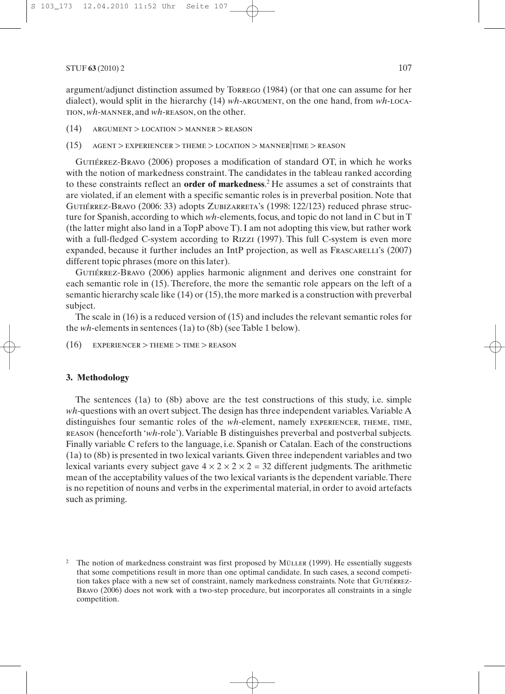argument/adjunct distinction assumed by Torrego (1984) (or that one can assume for her dialect), would split in the hierarchy (14) *wh*-argument, on the one hand, from *wh*-Location, *wh*-manner, and *wh*-reason, on the other.

- (14) argument > location > manner > reason
- $(15)$  AGENT > EXPERIENCER > THEME > LOCATION > MANNER TIME > REASON

Gutiérrez-Bravo (2006) proposes a modification of standard OT, in which he works with the notion of markedness constraint. The candidates in the tableau ranked according to these constraints reflect an **order of markedness**. 2 He assumes a set of constraints that are violated, if an element with a specific semantic roles is in preverbal position. Note that GUTIÉRREZ-BRAVO (2006: 33) adopts ZUBIZARRETA's (1998: 122/123) reduced phrase structure for Spanish, according to which *wh*-elements, focus, and topic do not land in C but in T (the latter might also land in a TopP above T). I am not adopting this view, but rather work with a full-fledged C-system according to Rizzi (1997). This full C-system is even more expanded, because it further includes an IntP projection, as well as Frascarelli's (2007) different topic phrases (more on this later).

Gutiérrez-Bravo (2006) applies harmonic alignment and derives one constraint for each semantic role in (15). Therefore, the more the semantic role appears on the left of a semantic hierarchy scale like (14) or (15), the more marked is a construction with preverbal subject.

The scale in (16) is a reduced version of (15) and includes the relevant semantic roles for the *wh*-elements in sentences (1a) to (8b) (see Table 1 below).

 $(16)$  EXPERIENCER > THEME > TIME > REASON

### **3. Methodology**

The sentences (1a) to (8b) above are the test constructions of this study, i.e. simple *wh*-questions with an overt subject.The design has three independent variables.Variable A distinguishes four semantic roles of the *wh*-element, namely EXPERIENCER, THEME, TIME, reason (henceforth '*wh*-role'). Variable B distinguishes preverbal and postverbal subjects. Finally variable C refers to the language, i.e. Spanish or Catalan. Each of the constructions (1a) to (8b) is presented in two lexical variants. Given three independent variables and two lexical variants every subject gave  $4 \times 2 \times 2 \times 2 = 32$  different judgments. The arithmetic mean of the acceptability values of the two lexical variants is the dependent variable.There is no repetition of nouns and verbs in the experimental material, in order to avoid artefacts such as priming.

The notion of markedness constraint was first proposed by Müller (1999). He essentially suggests that some competitions result in more than one optimal candidate. In such cases, a second competition takes place with a new set of constraint, namely markedness constraints. Note that GUTIÉRREZ-Bravo (2006) does not work with a two-step procedure, but incorporates all constraints in a single competition.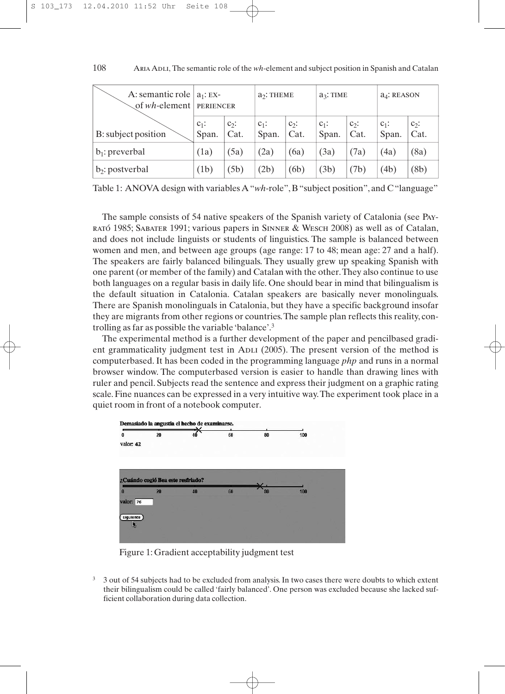| A: semantic role $ a_1$ : EX-<br>of $wh$ -element   PERIENCER |                  |                 | $a2$ : THEME     |                 | $a_3$ : TIME     |                 | $a_4$ : REASON   |                 |
|---------------------------------------------------------------|------------------|-----------------|------------------|-----------------|------------------|-----------------|------------------|-----------------|
| B: subject position                                           | $c_1$ :<br>Span. | $c_2$ :<br>Cat. | $c_1$ :<br>Span. | $c_2$ :<br>Cat. | $c_1$ :<br>Span. | $c_2$ :<br>Cat. | $c_1$ :<br>Span. | $c_2$ :<br>Cat. |
| $b_1$ : preverbal                                             | (1a)             | (5a)            | (2a)             | (6a)            | (3a)             | (7a)            | (4a)             | (8a)            |
| $b_2$ : postverbal                                            | (1b)             | (5b)            | (2b)             | (6b)            | (3b)             | (7b)            | (4b)             | (8b)            |

ARIA ADLI, The semantic role of the *wh*-element and subject position in Spanish and Catalan 108

Table 1: ANOVA design with variables A "*wh*-role", B "subject position", and C "language"

The sample consists of 54 native speakers of the Spanish variety of Catalonia (see Payrató 1985; Sabater 1991; various papers in Sinner & Wesch 2008) as well as of Catalan, and does not include linguists or students of linguistics. The sample is balanced between women and men, and between age groups (age range: 17 to 48; mean age: 27 and a half). The speakers are fairly balanced bilinguals. They usually grew up speaking Spanish with one parent (or member of the family) and Catalan with the other.They also continue to use both languages on a regular basis in daily life. One should bear in mind that bilingualism is the default situation in Catalonia. Catalan speakers are basically never monolinguals. There are Spanish monolinguals in Catalonia, but they have a specific background insofar they are migrants from other regions or countries.The sample plan reflects this reality, controlling as far as possible the variable 'balance'.3

The experimental method is a further development of the paper and pencilbased gradient grammaticality judgment test in ADLI (2005). The present version of the method is computerbased. It has been coded in the programming language *php* and runs in a normal browser window. The computerbased version is easier to handle than drawing lines with ruler and pencil. Subjects read the sentence and express their judgment on a graphic rating scale. Fine nuances can be expressed in a very intuitive way.The experiment took place in a quiet room in front of a notebook computer.



Figure 1: Gradient acceptability judgment test

<sup>3</sup> 3 out of 54 subjects had to be excluded from analysis. In two cases there were doubts to which extent their bilingualism could be called 'fairly balanced'. One person was excluded because she lacked sufficient collaboration during data collection.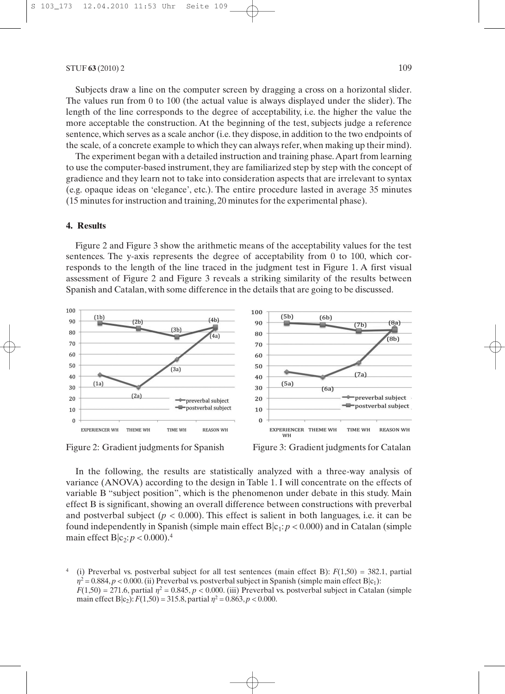Subjects draw a line on the computer screen by dragging a cross on a horizontal slider. The values run from 0 to 100 (the actual value is always displayed under the slider). The length of the line corresponds to the degree of acceptability, i.e. the higher the value the more acceptable the construction. At the beginning of the test, subjects judge a reference sentence, which serves as a scale anchor (i.e. they dispose, in addition to the two endpoints of the scale, of a concrete example to which they can always refer, when making up their mind).

The experiment began with a detailed instruction and training phase.Apart from learning to use the computer-based instrument, they are familiarized step by step with the concept of gradience and they learn not to take into consideration aspects that are irrelevant to syntax (e.g. opaque ideas on 'elegance', etc.). The entire procedure lasted in average 35 minutes (15 minutes for instruction and training, 20 minutes for the experimental phase).

## **4. Results**

Figure 2 and Figure 3 show the arithmetic means of the acceptability values for the test sentences. The y-axis represents the degree of acceptability from 0 to 100, which corresponds to the length of the line traced in the judgment test in Figure 1. A first visual assessment of Figure 2 and Figure 3 reveals a striking similarity of the results between Spanish and Catalan, with some difference in the details that are going to be discussed.





In the following, the results are statistically analyzed with a three-way analysis of variance (ANOVA) according to the design in Table 1. I will concentrate on the effects of variable B "subject position", which is the phenomenon under debate in this study. Main effect B is significant, showing an overall difference between constructions with preverbal and postverbal subject  $(p < 0.000)$ . This effect is salient in both languages, i.e. it can be found independently in Spanish (simple main effect  $B|c_1$ :  $p < 0.000$ ) and in Catalan (simple main effect  $B|c_2: p < 0.000$ .<sup>4</sup>

(i) Preverbal vs. postverbal subject for all test sentences (main effect B):  $F(1,50) = 382.1$ , partial  $\eta^2$  = 0.884, *p* < 0.000. (ii) Preverbal vs. postverbal subject in Spanish (simple main effect B|c<sub>1</sub>):  $F(1,50) = 271.6$ , partial  $\eta^2 = 0.845$ ,  $p < 0.000$ . (iii) Preverbal vs. postverbal subject in Catalan (simple main effect B|c<sub>2</sub>):  $F(1,50) = 315.8$ , partial  $\eta^2 = 0.863$ ,  $p < 0.000$ .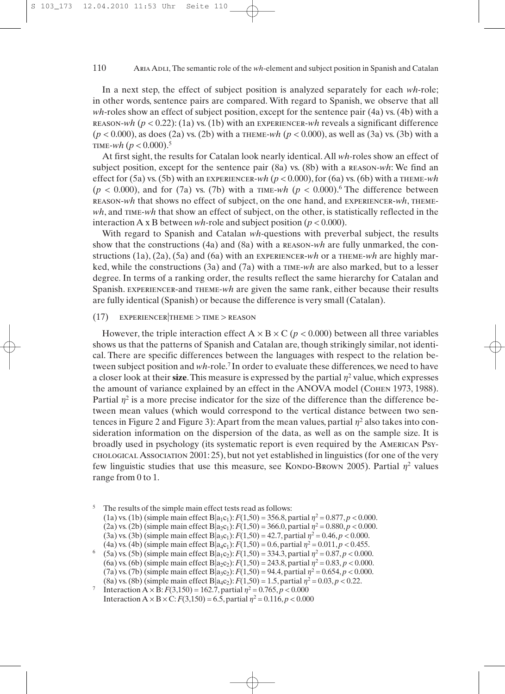#### ARIA ADLI, The semantic role of the *wh*-element and subject position in Spanish and Catalan 110

In a next step, the effect of subject position is analyzed separately for each *wh-*role; in other words, sentence pairs are compared. With regard to Spanish, we observe that all *wh*-roles show an effect of subject position, except for the sentence pair (4a) vs. (4b) with a reason-*wh* (*p <* 0.22): (1a) vs. (1b) with an experiencer-*wh* reveals a significant difference (*p <* 0.000), as does (2a) vs. (2b) with a theme-*wh* (*p <* 0.000), as well as (3a) vs. (3b) with a TIME- $wh$  ( $p < 0.000$ ).<sup>5</sup>

At first sight, the results for Catalan look nearly identical.All *wh*-roles show an effect of subject position, except for the sentence pair (8a) vs. (8b) with a reason-*wh*: We find an effect for (5a) vs. (5b) with an experiencer-*wh* (*p <* 0.000), for (6a) vs. (6b) with a theme-*wh*  $(p < 0.000)$ , and for (7a) vs. (7b) with a TIME-wh  $(p < 0.000)$ .<sup>6</sup> The difference between reason-*wh* that shows no effect of subject, on the one hand, and experiencer-*wh*, theme*wh*, and TIME-*wh* that show an effect of subject, on the other, is statistically reflected in the interaction A x B between *wh*-role and subject position (*p <* 0.000).

With regard to Spanish and Catalan *wh*-questions with preverbal subject, the results show that the constructions (4a) and (8a) with a reason-*wh* are fully unmarked, the constructions (1a), (2a), (5a) and (6a) with an experiencer-*wh* or a theme-*wh* are highly marked, while the constructions (3a) and (7a) with a time-*wh* are also marked, but to a lesser degree. In terms of a ranking order, the results reflect the same hierarchy for Catalan and Spanish. experiencer-and theme-*wh* are given the same rank, either because their results are fully identical (Spanish) or because the difference is very small (Catalan).

## (17) experiencer|theme > time > reason

However, the triple interaction effect  $A \times B \times C$  ( $p < 0.000$ ) between all three variables shows us that the patterns of Spanish and Catalan are, though strikingly similar, not identical. There are specific differences between the languages with respect to the relation between subject position and *wh*-role.7 In order to evaluate these differences, we need to have a closer look at their **size**. This measure is expressed by the partial  $\eta^2$  value, which expresses the amount of variance explained by an effect in the ANOVA model (COHEN 1973, 1988). Partial  $\eta^2$  is a more precise indicator for the size of the difference than the difference between mean values (which would correspond to the vertical distance between two sentences in Figure 2 and Figure 3): Apart from the mean values, partial  $\eta^2$  also takes into consideration information on the dispersion of the data, as well as on the sample size. It is broadly used in psychology (its systematic report is even required by the American Psychological Association 2001: 25), but not yet established in linguistics (for one of the very few linguistic studies that use this measure, see Kondo-Brown 2005). Partial  $\eta^2$  values range from 0 to 1.

<sup>&</sup>lt;sup>5</sup> The results of the simple main effect tests read as follows:

<sup>(1</sup>a) vs. (1b) (simple main effect  $B|a_1c_1$ ):  $F(1,50) = 356.8$ , partial  $\eta^2 = 0.877$ ,  $p < 0.000$ .

<sup>(2</sup>a) vs. (2b) (simple main effect B $|a_2c_1|$ :  $F(1,50) = 366.0$ , partial  $\eta^2 = 0.880$ ,  $p < 0.000$ .

<sup>(3</sup>a) vs. (3b) (simple main effect B|a<sub>3</sub>c<sub>1</sub>):  $F(1,50) = 42.7$ , partial  $\eta^2 = 0.46$ ,  $\rho < 0.000$ .<br>(4a) vs. (4b) (simple main effect B|a<sub>4</sub>c<sub>1</sub>):  $F(1,50) = 0.6$ , partial  $\eta^2 = 0.011$ ,  $\rho < 0.455$ .

<sup>&</sup>lt;sup>6</sup> (5a) vs. (5b) (simple main effect B|a<sub>1</sub>c<sub>2</sub>):  $F(1,50) = 334.3$ , partial  $\eta^2 = 0.87$ ,  $p < 0.000$ .

<sup>(6</sup>a) vs. (6b) (simple main effect B $|a_2c_2|$ :  $F(1,50) = 243.8$ , partial  $\eta^2 = 0.83$ ,  $p < 0.000$ . (7a) vs. (7b) (simple main effect B $|a_3c_2|$ :  $F(1,50) = 94.4$ , partial  $\eta^2 = 0.654$ ,  $p < 0.000$ .

<sup>(8</sup>a) vs. (8b) (simple main effect B $|a_4c_2\rangle$ :  $F(1,50) = 1.5$ , partial  $\eta^2 = 0.03$ ,  $p < 0.22$ .<br>Interaction A × B:  $F(3,150) = 162.7$ , partial  $\eta^2 = 0.765$ ,  $p < 0.000$ Interaction  $A \times B \times C$ :  $F(3,150) = 6.5$ , partial  $\eta^2 = 0.116$ ,  $p < 0.000$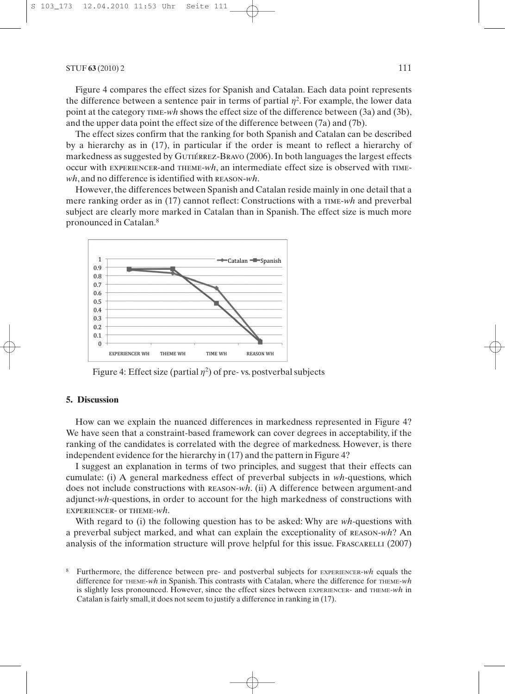Figure 4 compares the effect sizes for Spanish and Catalan. Each data point represents the difference between a sentence pair in terms of partial  $\eta^2$ . For example, the lower data point at the category time-*wh* shows the effect size of the difference between (3a) and (3b), and the upper data point the effect size of the difference between (7a) and (7b).

The effect sizes confirm that the ranking for both Spanish and Catalan can be described by a hierarchy as in (17), in particular if the order is meant to reflect a hierarchy of markedness as suggested by GUTIÉRREZ-BRAVO (2006). In both languages the largest effects occur with experiencer-and theme-*wh*, an intermediate effect size is observed with time*wh*, and no difference is identified with reason-*wh*.

However, the differences between Spanish and Catalan reside mainly in one detail that a mere ranking order as in (17) cannot reflect: Constructions with a time-*wh* and preverbal subject are clearly more marked in Catalan than in Spanish. The effect size is much more pronounced in Catalan.8



Figure 4: Effect size (partial  $\eta^2$ ) of pre-vs. postverbal subjects

### **5. Discussion**

How can we explain the nuanced differences in markedness represented in Figure 4? We have seen that a constraint-based framework can cover degrees in acceptability, if the ranking of the candidates is correlated with the degree of markedness. However, is there independent evidence for the hierarchy in (17) and the pattern in Figure 4?

I suggest an explanation in terms of two principles, and suggest that their effects can cumulate: (i) A general markedness effect of preverbal subjects in *wh*-questions, which does not include constructions with reason-*wh*. (ii) A difference between argument-and adjunct-*wh*-questions, in order to account for the high markedness of constructions with experiencer- or theme-*wh*.

With regard to (i) the following question has to be asked: Why are *wh*-questions with a preverbal subject marked, and what can explain the exceptionality of reason-*wh*? An analysis of the information structure will prove helpful for this issue. FRASCARELLI (2007)

<sup>8</sup> Furthermore, the difference between pre- and postverbal subjects for EXPERIENCER-*wh* equals the difference for THEME-*wh* in Spanish. This contrasts with Catalan, where the difference for THEME-*wh*  is slightly less pronounced. However, since the effect sizes between EXPERIENCER- and THEME-*wh* in Catalan is fairly small, it does not seem to justify a difference in ranking in (17).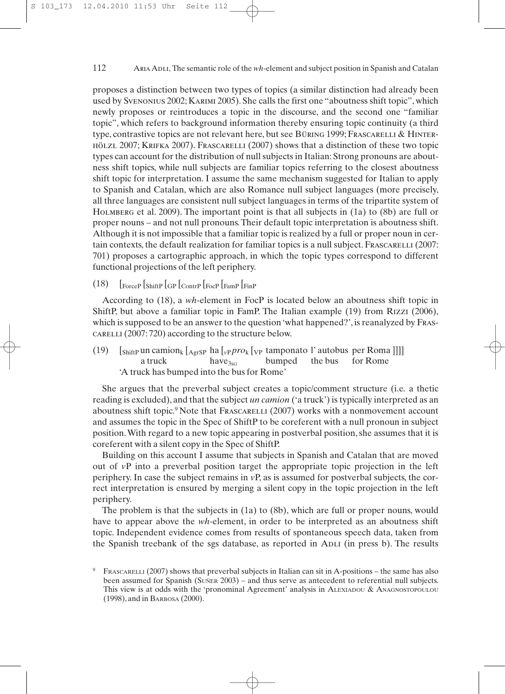#### Aria Adli, The semantic role of the *wh*-element and subject position in Spanish and Catalan 112

proposes a distinction between two types of topics (a similar distinction had already been used by Svenonius 2002; Karimi 2005). She calls the first one "aboutness shift topic", which newly proposes or reintroduces a topic in the discourse, and the second one "familiar topic", which refers to background information thereby ensuring topic continuity (a third type, contrastive topics are not relevant here, but see Büring 1999; Frascarelli & Hinterhölzl 2007; Krifka 2007). Frascarelli (2007) shows that a distinction of these two topic types can account for the distribution of null subjects in Italian: Strong pronouns are aboutness shift topics, while null subjects are familiar topics referring to the closest aboutness shift topic for interpretation. I assume the same mechanism suggested for Italian to apply to Spanish and Catalan, which are also Romance null subject languages (more precisely, all three languages are consistent null subject languages in terms of the tripartite system of Holmberg et al. 2009). The important point is that all subjects in (1a) to (8b) are full or proper nouns – and not null pronouns.Their default topic interpretation is aboutness shift. Although it is not impossible that a familiar topic is realized by a full or proper noun in certain contexts, the default realization for familiar topics is a null subject. FRASCARELLI (2007: 701) proposes a cartographic approach, in which the topic types correspond to different functional projections of the left periphery.

## (18) [ForceP [ShiftP [GP [ContrP [FocP [FamP [FinP

According to (18), a *wh*-element in FocP is located below an aboutness shift topic in ShiftP, but above a familiar topic in FamP. The Italian example (19) from Rizzi (2006), which is supposed to be an answer to the question 'what happened?', is reanalyzed by Frascarelli (2007: 720) according to the structure below.

(19)  $\left[\sin{\theta}$   $\sin{\theta}$   $\left[\cos{\theta}\right]$   $\left[\cos{\theta}\right]$   $\left[\cos{\theta}\right]$   $\left[\cos{\theta}\right]$   $\left[\cos{\theta}\right]$   $\left[\cos{\theta}\right]$ a truck have<sub>3sG</sub> bumped the bus for Rome 'A truck has bumped into the bus for Rome'

She argues that the preverbal subject creates a topic/comment structure (i.e. a thetic reading is excluded), and that the subject *un camion* ('a truck') is typically interpreted as an aboutness shift topic.<sup>9</sup> Note that Frascarelli (2007) works with a nonmovement account and assumes the topic in the Spec of ShiftP to be coreferent with a null pronoun in subject position.With regard to a new topic appearing in postverbal position, she assumes that it is coreferent with a silent copy in the Spec of ShiftP.

Building on this account I assume that subjects in Spanish and Catalan that are moved out of *v*P into a preverbal position target the appropriate topic projection in the left periphery. In case the subject remains in *v*P, as is assumed for postverbal subjects, the correct interpretation is ensured by merging a silent copy in the topic projection in the left periphery.

The problem is that the subjects in (1a) to (8b), which are full or proper nouns, would have to appear above the *wh*-element, in order to be interpreted as an aboutness shift topic. Independent evidence comes from results of spontaneous speech data, taken from the Spanish treebank of the sgs database, as reported in Aplace (in press b). The results

<sup>9</sup> FRASCARELLI (2007) shows that preverbal subjects in Italian can sit in A-positions – the same has also been assumed for Spanish (SUÑER 2003) – and thus serve as antecedent to referential null subjects. This view is at odds with the 'pronominal Agreement' analysis in ALEXIADOU & ANAGNOSTOPOULOU (1998), and in BARBOSA (2000).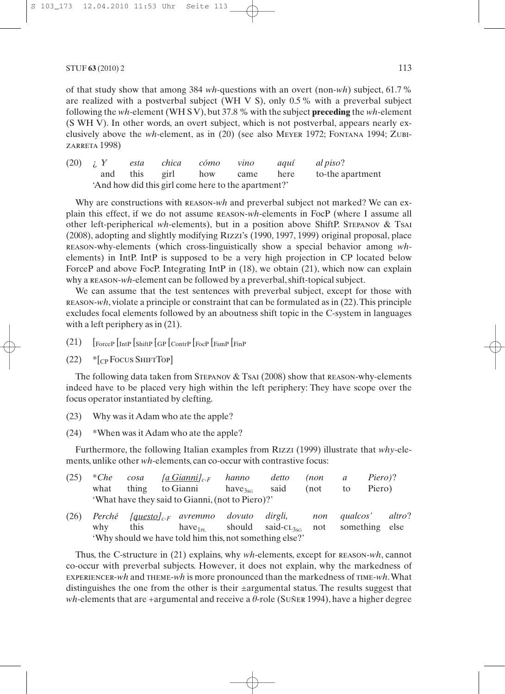of that study show that among 384 *wh*-questions with an overt (non-*wh*) subject, 61.7 % are realized with a postverbal subject (WH V S), only 0.5 % with a preverbal subject following the *wh*-element (WH S V), but 37.8 % with the subject **preceding** the *wh*-element (S WH V). In other words, an overt subject, which is not postverbal, appears nearly exclusively above the *wh*-element, as in (20) (see also Meyer 1972; Fontana 1994; Zubizarreta 1998)

(20) ¿ *Y esta chica cómo vino aquí al piso*? and this girl how came here to-the apartment 'And how did this girl come here to the apartment?'

Why are constructions with **REASON-***wh* and preverbal subject not marked? We can explain this effect, if we do not assume reason-*wh*-elements in FocP (where I assume all other left-peripherical *wh*-elements), but in a position above ShiftP. Stepanov & Tsai (2008), adopting and slightly modifying Rizzi's (1990, 1997, 1999) original proposal, place reason-why-elements (which cross-linguistically show a special behavior among *wh*elements) in IntP. IntP is supposed to be a very high projection in CP located below ForceP and above FocP. Integrating IntP in  $(18)$ , we obtain  $(21)$ , which now can explain why a **REASON-wh-element** can be followed by a preverbal, shift-topical subject.

We can assume that the test sentences with preverbal subject, except for those with reason-*wh*, violate a principle or constraint that can be formulated as in (22).This principle excludes focal elements followed by an aboutness shift topic in the C-system in languages with a left periphery as in  $(21)$ .

- (21) [ForceP [IntP [ShiftP [GP [ContrP [FocP [FamP [FinP
- (22) \*[CP Focus ShiftTop]

The following data taken from STEPANOV  $&$  TsAI (2008) show that reason-why-elements indeed have to be placed very high within the left periphery: They have scope over the focus operator instantiated by clefting.

- (23) Why was it Adam who ate the apple?
- (24) \*When was it Adam who ate the apple?

Furthermore, the following Italian examples from Rizzi (1999) illustrate that *why*-elements, unlike other *wh*-elements, can co-occur with contrastive focus:

|                                                  |  |  | (25) *Che cosa $[a$ Gianni $]_{c\text{-}F}$ hanno detto (non a Piero)? |  |  |  |  |
|--------------------------------------------------|--|--|------------------------------------------------------------------------|--|--|--|--|
|                                                  |  |  | what thing to Gianni have said (not to Piero)                          |  |  |  |  |
| 'What have they said to Gianni, (not to Piero)?' |  |  |                                                                        |  |  |  |  |

(26) *Perché [questo]c-F avremmo dovuto dirgli, non qualcos' altro*? why this have<sub>1PL</sub> should said- $CL_{3SG}$  not something else 'Why should we have told him this, not something else?'

Thus, the C-structure in (21) explains, why *wh*-elements, except for reason-*wh*, cannot co-occur with preverbal subjects. However, it does not explain, why the markedness of experiencer-*wh* and theme-*wh* is more pronounced than the markedness of time-*wh*.What distinguishes the one from the other is their ±argumental status. The results suggest that *wh*-elements that are +argumental and receive a  $\theta$ -role (Suñer 1994), have a higher degree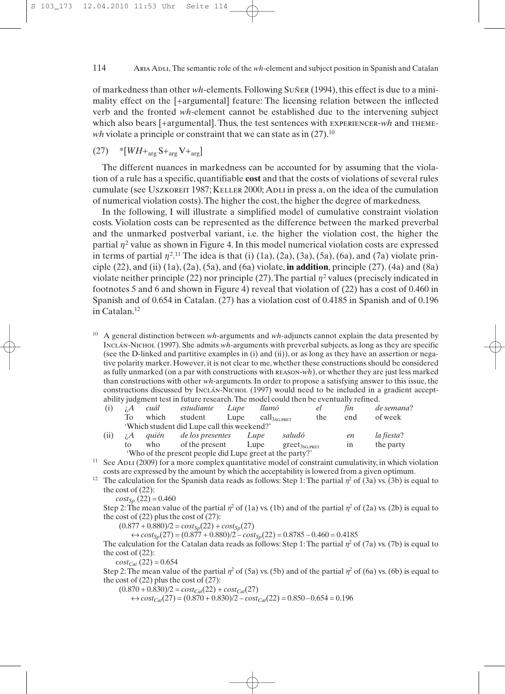#### ARIA ADLI, The semantic role of the *wh*-element and subject position in Spanish and Catalan 114

of markedness than other *wh*-elements. Following Suñer (1994), this effect is due to a minimality effect on the [+argumental] feature: The licensing relation between the inflected verb and the fronted *wh*-element cannot be established due to the intervening subject which also bears [+argumental]. Thus, the test sentences with EXPERIENCER-*wh* and THEME*wh* violate a principle or constraint that we can state as in  $(27)$ .<sup>10</sup>

## $(27)$  \*[*WH*+<sub>arg</sub> S+<sub>arg</sub> V+<sub>arg</sub>]

The different nuances in markedness can be accounted for by assuming that the violation of a rule has a specific, quantifiable **cost** and that the costs of violations of several rules cumulate (see Uszkoreth 1987; KELLER 2000; Apli in press a, on the idea of the cumulation of numerical violation costs).The higher the cost, the higher the degree of markedness.

In the following, I will illustrate a simplified model of cumulative constraint violation costs. Violation costs can be represented as the difference between the marked preverbal and the unmarked postverbal variant, i.e. the higher the violation cost, the higher the partial  $\eta^2$  value as shown in Figure 4. In this model numerical violation costs are expressed in terms of partial  $\eta^{2,11}$  The idea is that (i) (1a), (2a), (3a), (5a), (6a), and (7a) violate principle (22), and (ii) (1a), (2a), (5a), and (6a) violate, **in addition**, principle (27). (4a) and (8a) violate neither principle (22) nor principle (27). The partial  $\eta^2$  values (precisely indicated in footnotes 5 and 6 and shown in Figure 4) reveal that violation of (22) has a cost of 0.460 in Spanish and of 0.654 in Catalan. (27) has a violation cost of 0.4185 in Spanish and of 0.196 in Catalan.12

<sup>10</sup> A general distinction between *wh*-arguments and *wh*-adjuncts cannot explain the data presented by Inclán-Nichol (1997). She admits *wh*-arguments with preverbal subjects, as long as they are specific (see the D-linked and partitive examples in (i) and (ii)), or as long as they have an assertion or negative polarity marker. However, it is not clear to me, whether these constructions should be considered as fully unmarked (on a par with constructions with reason-*wh*), or whether they are just less marked than constructions with other *wh*-arguments. In order to propose a satisfying answer to this issue, the constructions discussed by Inclán-Nichol (1997) would need to be included in a gradient acceptability judgment test in future research.The model could then be eventually refined.

| (i)  | ; A | cuál  | estudiante                                               | Lupe | llamó                           |                    | el  | fin            | de semana? |
|------|-----|-------|----------------------------------------------------------|------|---------------------------------|--------------------|-----|----------------|------------|
|      | To  | which | student                                                  | Lupe | $\text{call}_{3\text{SG-PRET}}$ |                    | the | end            | of week    |
|      |     |       | 'Which student did Lupe call this weekend?'              |      |                                 |                    |     |                |            |
| (ii) | ; A | auién | de los presentes                                         |      | Lupe                            | saludó             |     | en             | la fiesta? |
|      | to  | who   | of the present                                           |      | Lupe                            | $greet_{3SG.PRET}$ |     | $_{\text{1n}}$ | the party  |
|      |     |       | 'Who of the present people did Lupe greet at the party?' |      |                                 |                    |     |                |            |

 $11$  See ADLI (2009) for a more complex quantitative model of constraint cumulativity, in which violation costs are expressed by the amount by which the acceptability is lowered from a given optimum.

<sup>12</sup> The calculation for the Spanish data reads as follows: Step 1: The partial  $\eta^2$  of (3a) vs. (3b) is equal to the cost of (22):

 $cost_{Sp} (22) = 0.460$ 

Step 2: The mean value of the partial  $\eta^2$  of (1a) vs. (1b) and of the partial  $\eta^2$  of (2a) vs. (2b) is equal to the cost of  $(22)$  plus the cost of  $(27)$ :

 $(0.877 + 0.880)/2 = cost_{Sp}(22) + cost_{Sp}(27)$ 

 $\Leftrightarrow cost_{Sp}(27) = (0.877 + 0.880)/2 - cost_{Sp}(22) = 0.8785 - 0.460 = 0.4185$ 

The calculation for the Catalan data reads as follows: Step 1: The partial  $n^2$  of (7a) vs. (7b) is equal to the cost of (22):

 $cost_{Cat}$  (22) = 0.654

Step 2: The mean value of the partial  $\eta^2$  of (5a) vs. (5b) and of the partial  $\eta^2$  of (6a) vs. (6b) is equal to the cost of  $(22)$  plus the cost of  $(27)$ :

 $(0.870 + 0.830)/2 = cost_{Cat}(22) + cost_{Cat}(27)$ 

 $\Leftrightarrow cost_{Cat}(27) = (0.870 + 0.830)/2 - cost_{Cat}(22) = 0.850 - 0.654 = 0.196$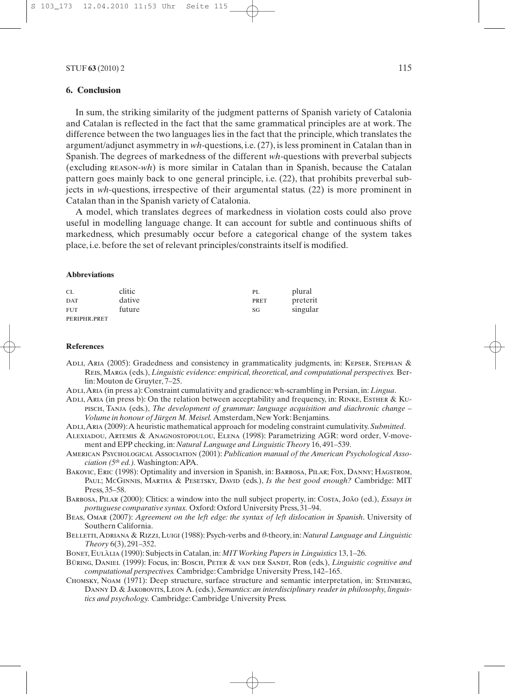### **6. Conclusion**

In sum, the striking similarity of the judgment patterns of Spanish variety of Catalonia and Catalan is reflected in the fact that the same grammatical principles are at work. The difference between the two languages lies in the fact that the principle, which translates the argument/adjunct asymmetry in *wh*-questions, i.e. (27), is less prominent in Catalan than in Spanish. The degrees of markedness of the different *wh-*questions with preverbal subjects (excluding reason-*wh*) is more similar in Catalan than in Spanish, because the Catalan pattern goes mainly back to one general principle, i.e. (22), that prohibits preverbal subjects in *wh*-questions, irrespective of their argumental status. (22) is more prominent in Catalan than in the Spanish variety of Catalonia.

A model, which translates degrees of markedness in violation costs could also prove useful in modelling language change. It can account for subtle and continuous shifts of markedness, which presumably occur before a categorical change of the system takes place, i.e. before the set of relevant principles/constraints itself is modified.

#### **Abbreviations**

| <b>CL</b>    | clitic | PL   | plural   |
|--------------|--------|------|----------|
| <b>DAT</b>   | dative | PRET | preterit |
| <b>FUT</b>   | future | SG   | singular |
| PERIPHR.PRET |        |      |          |

#### **References**

- ADLI, ARIA (2005): Gradedness and consistency in grammaticality judgments, in: KEPSER, STEPHAN & Reis, Marga (eds.), *Linguistic evidence: empirical, theoretical, and computational perspectives.* Berlin: Mouton de Gruyter, 7–25.
- Adli,Aria (in press a): Constraint cumulativity and gradience: wh-scrambling in Persian, in: *Lingua*.
- ADLI, ARIA (in press b): On the relation between acceptability and frequency, in: RINKE, ESTHER & KUpisch, Tanja (eds.), *The development of grammar: language acquisition and diachronic change – Volume in honour of Jürgen M. Meisel.* Amsterdam, New York: Benjamins.
- Adli,Aria (2009):A heuristic mathematical approach for modeling constraint cumulativity. *Submitted*.
- Alexiadou, Artemis & Anagnostopoulou, Elena (1998): Parametrizing AGR: word order, V-movement and EPP checking, in:*Natural Language and Linguistic Theory* 16, 491–539.
- American Psychological Association (2001): *Publication manual of the American Psychological Association (5th ed.).*Washington:APA.
- BAKOVIC, ERIC (1998): Optimality and inversion in Spanish, in: BARBOSA, PILAR; FOX, DANNY; HAGSTROM, PAUL; McGINNIS, MARTHA & PESETSKY, DAVID (eds.), *Is the best good enough?* Cambridge: MIT Press, 35–58.
- Barbosa, Pilar (2000): Clitics: a window into the null subject property, in: Costa, João (ed.), *Essays in portuguese comparative syntax.* Oxford: Oxford University Press, 31–94.
- Beas, Omar (2007): *Agreement on the left edge: the syntax of left dislocation in Spanish*. University of Southern California.
- BELLETTI, ADRIANA & RIZZI, LUIGI (1988): Psych-verbs and  $\theta$ -theory, in: *Natural Language and Linguistic Theory* 6(3), 291–352.

Bonet, Eulàlia (1990): Subjects in Catalan, in:*MIT Working Papers in Linguistics* 13, 1–26.

- Büring, Daniel (1999): Focus, in: Bosch, Peter & van der Sandt, Rob (eds.), *Linguistic cognitive and computational perspectives.* Cambridge: Cambridge University Press, 142–165.
- Chomsky, Noam (1971): Deep structure, surface structure and semantic interpretation, in: Steinberg, Danny D. & Jakobovits, Leon A. (eds.), *Semantics: an interdisciplinary reader in philosophy, linguistics and psychology.* Cambridge: Cambridge University Press.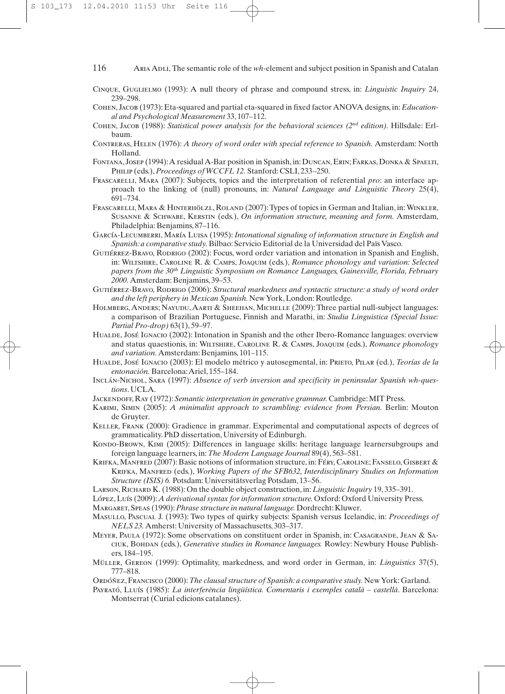- Cinque, Guglielmo (1993): A null theory of phrase and compound stress, in: *Linguistic Inquiry* 24, 239–298.
- Cohen, Jacob (1973): Eta-squared and partial eta-squared in fixed factor ANOVA designs, in: *Educational and Psychological Measurement* 33, 107–112.
- Cohen, Jacob (1988): *Statistical power analysis for the behavioral sciences (2nd edition).* Hillsdale: Erlbaum.
- Contreras, Helen (1976): *A theory of word order with special reference to Spanish.* Amsterdam: North Holland.
- Fontana, Josep (1994):A residual A-Bar position in Spanish, in: Duncan, Erin; Farkas, Donka & Spaelti, Philip (eds.),*Proceedings of WCCFL 12.* Stanford: CSLI, 233–250.
- Frascarelli, Mara (2007): Subjects, topics and the interpretation of referential *pro*: an interface approach to the linking of (null) pronouns, in: *Natural Language and Linguistic Theory* 25(4), 691–734.
- Frascarelli, Mara & Hinterhölzl, Roland (2007):Types of topics in German and Italian, in:Winkler, Susanne & Schwabe, Kerstin (eds.), *On information structure, meaning and form.* Amsterdam, Philadelphia: Benjamins, 87–116.
- García-Lecumberri, María Luisa (1995): *Intonational signaling of information structure in English and Spanish: a comparative study.* Bilbao: Servicio Editorial de la Universidad del Païs Vasco.
- GUTIÉRREZ-BRAVO, RODRIGO (2002): Focus, word order variation and intonation in Spanish and English, in: Wiltshire, Caroline R. & Camps, Joaquim (eds.), *Romance phonology and variation: Selected papers from the 30th Linguistic Symposium on Romance Languages, Gainesville, Florida, February 2000.* Amsterdam: Benjamins, 39–53.
- Gutiérrez-Bravo, Rodrigo (2006): *Structural markedness and syntactic structure: a study of word order and the left periphery in Mexican Spanish.*New York, London: Routledge.
- Holmberg, Anders; Nayudu, Aarti & Sheehan, Michelle (2009): Three partial null-subject languages: a comparison of Brazilian Portuguese, Finnish and Marathi, in: *Studia Linguistica (Special Issue: Partial Pro-drop)* 63(1), 59–97.
- Hualde, José Ignacio (2002): Intonation in Spanish and the other Ibero-Romance languages: overview and status quaestionis, in: Wiltshire, Caroline R. & Camps, Joaquim (eds.), *Romance phonology and variation.* Amsterdam: Benjamins, 101–115.
- HUALDE, JOSÉ IGNACIO (2003): El modelo métrico y autosegmental, in: PRIETO, PILAR (ed.), *Teorías de la entonación.* Barcelona:Ariel, 155–184.
- Inclán-Nichol, Sara (1997): *Absence of verb inversion and specificity in peninsular Spanish wh-questions*. UCLA.
- Jackendoff, Ray (1972): *Semantic interpretation in generative grammar.* Cambridge: MIT Press.
- Karimi, Simin (2005): *A minimalist approach to scrambling: evidence from Persian.* Berlin: Mouton de Gruyter.
- Keller, Frank (2000): Gradience in grammar. Experimental and computational aspects of degrees of grammaticality. PhD dissertation, University of Edinburgh.
- Kondo-Brown, Kimi (2005): Differences in language skills: heritage language learnersubgroups and foreign language learners, in:*The Modern Language Journal* 89(4), 563–581.
- KRIFKA, MANFRED (2007): Basic notions of information structure, in: Féry, CAROLINE; FANSELO, GISBERT & Krifka, Manfred (eds.), *Working Papers of the SFB632, Interdisciplinary Studies on Information Structure (ISIS) 6.* Potsdam: Universitätsverlag Potsdam, 13–56.
- Larson, Richard K. (1988): On the double object construction, in: *Linguistic Inquiry* 19, 335–391.
- López, Luís (2009):*A derivational syntax for information structure.* Oxford: Oxford University Press.

Margaret, Speas (1990):*Phrase structure in natural language.* Dordrecht: Kluwer.

Masullo, Pascual J. (1993): Two types of quirky subjects: Spanish versus Icelandic, in: *Proceedings of NELS 23.* Amherst: University of Massachusetts, 303–317.

- MEYER, PAULA (1972): Some observations on constituent order in Spanish, in: CASAGRANDE, JEAN & SAciuk, Bohdan (eds.), *Generative studies in Romance languages.* Rowley: Newbury House Publishers, 184–195.
- Müller, Gereon (1999): Optimality, markedness, and word order in German, in: *Linguistics* 37(5), 777–818.

Ordóñez, Francisco (2000):*The clausal structure of Spanish: a comparative study.*New York: Garland.

Payrató, Lluís (1985): *La interferència lingüística. Comentaris i exemples català – castellà*. Barcelona: Montserrat (Curial edicions catalanes).

<sup>116</sup> ARIA ADLI, The semantic role of the *wh*-element and subject position in Spanish and Catalan